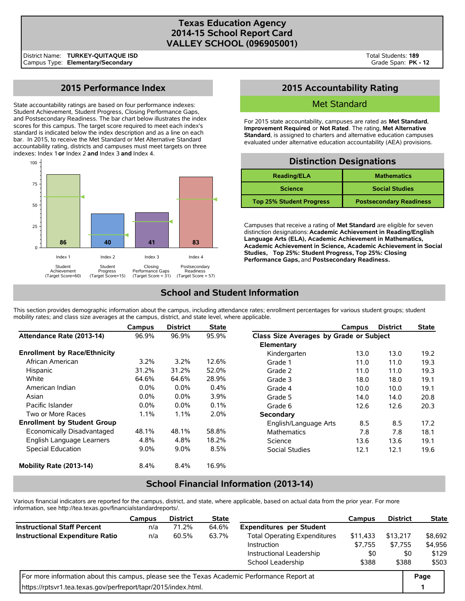## **Texas Education Agency 2014-15 School Report Card VALLEY SCHOOL (096905001)**

# **2015 Performance Index**

State accountability ratings are based on four performance indexes: Student Achievement, Student Progress, Closing Performance Gaps, and Postsecondary Readiness. The bar chart below illustrates the index scores for this campus. The target score required to meet each index's standard is indicated below the index description and as a line on each bar. In 2015, to receive the Met Standard or Met Alternative Standard accountability rating, districts and campuses must meet targets on three indexes: Index 1 **or** Index 2 **and** Index 3 **and** Index 4.



# **2015 Accountability Rating**

## Met Standard

For 2015 state accountability, campuses are rated as **Met Standard**, **Improvement Required**, or **Not Rated**. The rating, **Met Alternative Standard**, is assigned to charters and alternative education campuses evaluated under alternative education accountability (AEA) provisions.

### **Distinction Designations**

| <b>Reading/ELA</b>              | <b>Mathematics</b>             |
|---------------------------------|--------------------------------|
| <b>Science</b>                  | <b>Social Studies</b>          |
| <b>Top 25% Student Progress</b> | <b>Postsecondary Readiness</b> |

Campuses that receive a rating of **Met Standard** are eligible for seven distinction designations: **Academic Achievement in Reading/English Language Arts (ELA), Academic Achievement in Mathematics, Academic Achievement in Science, Academic Achievement in Social Studies, Top 25%: Student Progress, Top 25%: Closing Performance Gaps,** and **Postsecondary Readiness.**

# **School and Student Information**

This section provides demographic information about the campus, including attendance rates; enrollment percentages for various student groups; student mobility rates; and class size averages at the campus, district, and state level, where applicable.

|                                     | Campus  | <b>District</b> | <b>State</b> |                                         | Campus | <b>District</b> | <b>State</b> |
|-------------------------------------|---------|-----------------|--------------|-----------------------------------------|--------|-----------------|--------------|
| Attendance Rate (2013-14)           | 96.9%   | 96.9%           | 95.9%        | Class Size Averages by Grade or Subject |        |                 |              |
|                                     |         |                 |              | Elementary                              |        |                 |              |
| <b>Enrollment by Race/Ethnicity</b> |         |                 |              | Kindergarten                            | 13.0   | 13.0            | 19.2         |
| African American                    | $3.2\%$ | 3.2%            | 12.6%        | Grade 1                                 | 11.0   | 11.0            | 19.3         |
| Hispanic                            | 31.2%   | 31.2%           | 52.0%        | Grade 2                                 | 11.0   | 11.0            | 19.3         |
| White                               | 64.6%   | 64.6%           | 28.9%        | Grade 3                                 | 18.0   | 18.0            | 19.1         |
| American Indian                     | $0.0\%$ | 0.0%            | 0.4%         | Grade 4                                 | 10.0   | 10.0            | 19.1         |
| Asian                               | $0.0\%$ | 0.0%            | 3.9%         | Grade 5                                 | 14.0   | 14.0            | 20.8         |
| Pacific Islander                    | $0.0\%$ | 0.0%            | 0.1%         | Grade 6                                 | 12.6   | 12.6            | 20.3         |
| Two or More Races                   | 1.1%    | 1.1%            | 2.0%         | Secondary                               |        |                 |              |
| <b>Enrollment by Student Group</b>  |         |                 |              | English/Language Arts                   | 8.5    | 8.5             | 17.2         |
| Economically Disadvantaged          | 48.1%   | 48.1%           | 58.8%        | <b>Mathematics</b>                      | 7.8    | 7.8             | 18.1         |
| English Language Learners           | 4.8%    | 4.8%            | 18.2%        | Science                                 | 13.6   | 13.6            | 19.1         |
| Special Education                   | $9.0\%$ | 9.0%            | 8.5%         | <b>Social Studies</b>                   | 12.1   | 12.1            | 19.6         |
| Mobility Rate (2013-14)             | 8.4%    | 8.4%            | 16.9%        |                                         |        |                 |              |

## **School Financial Information (2013-14)**

Various financial indicators are reported for the campus, district, and state, where applicable, based on actual data from the prior year. For more information, see http://tea.texas.gov/financialstandardreports/.

|                                                                                             | Campus                                                       | <b>District</b> | <b>State</b> |                                 | Campus   | <b>District</b> | <b>State</b> |  |
|---------------------------------------------------------------------------------------------|--------------------------------------------------------------|-----------------|--------------|---------------------------------|----------|-----------------|--------------|--|
| <b>Instructional Staff Percent</b>                                                          | n/a                                                          | 71.2%           | 64.6%        | <b>Expenditures per Student</b> |          |                 |              |  |
| <b>Instructional Expenditure Ratio</b>                                                      | <b>Total Operating Expenditures</b><br>60.5%<br>63.7%<br>n/a |                 |              |                                 | \$11,433 | \$13,217        | \$8,692      |  |
|                                                                                             |                                                              |                 |              | Instruction                     | \$7.755  | \$7.755         | \$4,956      |  |
|                                                                                             |                                                              |                 |              | Instructional Leadership        | \$0      |                 | \$129<br>\$0 |  |
|                                                                                             |                                                              | \$388           | \$388        | \$503                           |          |                 |              |  |
| For more information about this campus, please see the Texas Academic Performance Report at |                                                              |                 |              |                                 |          |                 |              |  |
| https://rptsvr1.tea.texas.gov/perfreport/tapr/2015/index.html.                              |                                                              |                 |              |                                 |          |                 |              |  |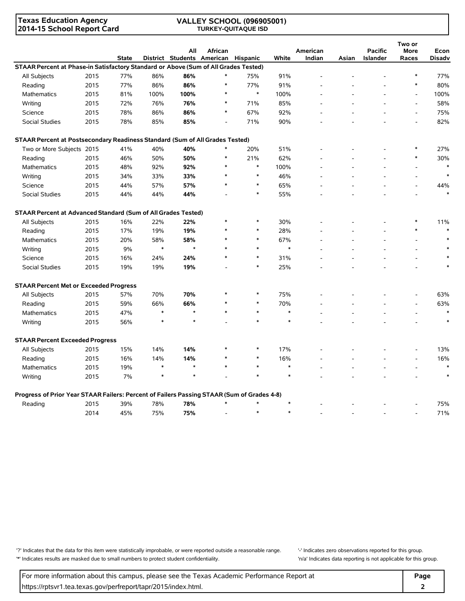**Texas Education Agency 2014-15 School Report Card**

### **VALLEY SCHOOL (096905001) TURKEY-QUITAQUE ISD**

|                                                                                            |      |              |        | All                        | African |          |        | American |       | <b>Pacific</b> | Two or<br><b>More</b>    | Econ          |
|--------------------------------------------------------------------------------------------|------|--------------|--------|----------------------------|---------|----------|--------|----------|-------|----------------|--------------------------|---------------|
|                                                                                            |      | <b>State</b> |        | District Students American |         | Hispanic | White  | Indian   | Asian | Islander       | Races                    | <b>Disadv</b> |
| STAAR Percent at Phase-in Satisfactory Standard or Above (Sum of All Grades Tested)        |      |              |        |                            |         |          |        |          |       |                |                          |               |
| All Subjects                                                                               | 2015 | 77%          | 86%    | 86%                        |         | 75%      | 91%    |          |       |                | $\ast$                   | 77%           |
| Reading                                                                                    | 2015 | 77%          | 86%    | 86%                        | $\ast$  | 77%      | 91%    |          |       |                | $\ast$                   | 80%           |
| Mathematics                                                                                | 2015 | 81%          | 100%   | 100%                       | $\ast$  | $\ast$   | 100%   |          |       |                | $\overline{a}$           | 100%          |
| Writing                                                                                    | 2015 | 72%          | 76%    | 76%                        | $\ast$  | 71%      | 85%    |          |       |                | $\overline{a}$           | 58%           |
| Science                                                                                    | 2015 | 78%          | 86%    | 86%                        | *       | 67%      | 92%    |          |       |                | $\overline{a}$           | 75%           |
| Social Studies                                                                             | 2015 | 78%          | 85%    | 85%                        |         | 71%      | 90%    |          |       |                |                          | 82%           |
| STAAR Percent at Postsecondary Readiness Standard (Sum of All Grades Tested)               |      |              |        |                            |         |          |        |          |       |                |                          |               |
| Two or More Subjects 2015                                                                  |      | 41%          | 40%    | 40%                        | $\ast$  | 20%      | 51%    |          |       |                |                          | 27%           |
| Reading                                                                                    | 2015 | 46%          | 50%    | 50%                        | $\ast$  | 21%      | 62%    |          |       |                | $\ast$                   | 30%           |
| Mathematics                                                                                | 2015 | 48%          | 92%    | 92%                        | ∗       | $\ast$   | 100%   |          |       |                |                          | $\ast$        |
| Writing                                                                                    | 2015 | 34%          | 33%    | 33%                        | $\ast$  | $\ast$   | 46%    |          |       |                |                          | $\ast$        |
| Science                                                                                    | 2015 | 44%          | 57%    | 57%                        | $\ast$  | $\ast$   | 65%    |          |       |                | $\overline{a}$           | 44%           |
| <b>Social Studies</b>                                                                      | 2015 | 44%          | 44%    | 44%                        |         | $\ast$   | 55%    |          |       |                |                          |               |
| STAAR Percent at Advanced Standard (Sum of All Grades Tested)                              |      |              |        |                            |         |          |        |          |       |                |                          |               |
| All Subjects                                                                               | 2015 | 16%          | 22%    | 22%                        | $\ast$  | $\ast$   | 30%    |          |       |                | ∗                        | 11%           |
| Reading                                                                                    | 2015 | 17%          | 19%    | 19%                        | $\ast$  | *        | 28%    |          |       |                | $\ast$                   | $\ast$        |
| Mathematics                                                                                | 2015 | 20%          | 58%    | 58%                        | $\ast$  | $\ast$   | 67%    |          |       |                | $\overline{\phantom{a}}$ |               |
| Writing                                                                                    | 2015 | 9%           | $\ast$ | $\star$                    |         | $\ast$   | $\ast$ |          |       |                | $\overline{a}$           |               |
| Science                                                                                    | 2015 | 16%          | 24%    | 24%                        | $\ast$  | $\ast$   | 31%    |          |       |                |                          |               |
| Social Studies                                                                             | 2015 | 19%          | 19%    | 19%                        |         | $\ast$   | 25%    |          |       |                |                          |               |
| <b>STAAR Percent Met or Exceeded Progress</b>                                              |      |              |        |                            |         |          |        |          |       |                |                          |               |
| All Subjects                                                                               | 2015 | 57%          | 70%    | 70%                        | $\ast$  | $\ast$   | 75%    |          |       |                |                          | 63%           |
| Reading                                                                                    | 2015 | 59%          | 66%    | 66%                        | $\ast$  | $\ast$   | 70%    |          |       |                |                          | 63%           |
| <b>Mathematics</b>                                                                         | 2015 | 47%          | $\ast$ | $\star$                    | $\ast$  | $\ast$   | $\ast$ |          |       |                |                          | $\ast$        |
| Writing                                                                                    | 2015 | 56%          | $\ast$ | $\star$                    |         | $\ast$   | $\ast$ |          |       |                |                          | $\ast$        |
| <b>STAAR Percent Exceeded Progress</b>                                                     |      |              |        |                            |         |          |        |          |       |                |                          |               |
| All Subjects                                                                               | 2015 | 15%          | 14%    | 14%                        | $\ast$  | $\ast$   | 17%    |          |       |                |                          | 13%           |
| Reading                                                                                    | 2015 | 16%          | 14%    | 14%                        | $\ast$  | $\ast$   | 16%    |          |       |                | $\overline{a}$           | 16%           |
| Mathematics                                                                                | 2015 | 19%          | $\ast$ | $\star$                    | $\ast$  | $\ast$   | $\ast$ |          |       |                | $\overline{a}$           | $\ast$        |
| Writing                                                                                    | 2015 | 7%           | $\ast$ |                            |         |          | $\ast$ |          |       |                |                          |               |
| Progress of Prior Year STAAR Failers: Percent of Failers Passing STAAR (Sum of Grades 4-8) |      |              |        |                            |         |          |        |          |       |                |                          |               |
| Reading                                                                                    | 2015 | 39%          | 78%    | 78%                        | $\ast$  | $\ast$   | $\ast$ |          |       |                |                          | 75%           |
|                                                                                            | 2014 | 45%          | 75%    | 75%                        |         | $\ast$   | $\ast$ |          |       |                | $\overline{a}$           | 71%           |

'?' Indicates that the data for this item were statistically improbable, or were reported outside a reasonable range. '' Indicates zero observations reported for this group. '\*' Indicates results are masked due to small numbers to protect student confidentiality. 'n/a' Indicates data reporting is not applicable for this group.

For more information about this campus, please see the Texas Academic Performance Report at **Page Page** https://rptsvr1.tea.texas.gov/perfreport/tapr/2015/index.html. **2**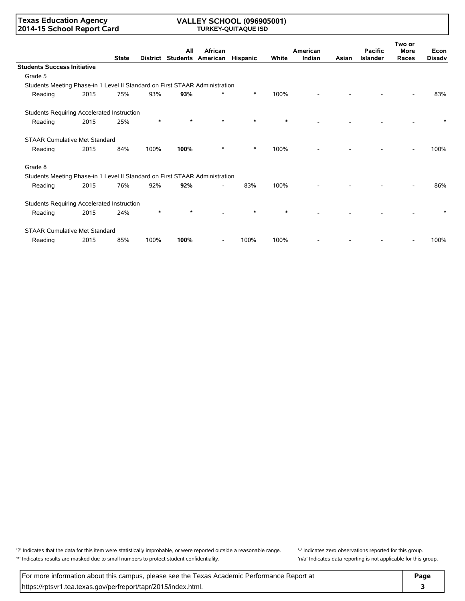### **Texas Education Agency 2014-15 School Report Card**

### **VALLEY SCHOOL (096905001) TURKEY-QUITAQUE ISD**

|                                                                             |      | <b>State</b> |        | All     | African<br>District Students American | <b>Hispanic</b> | White | American<br>Indian | Asian | <b>Pacific</b><br><b>Islander</b> | Two or<br><b>More</b><br>Races | Econ<br><b>Disadv</b> |
|-----------------------------------------------------------------------------|------|--------------|--------|---------|---------------------------------------|-----------------|-------|--------------------|-------|-----------------------------------|--------------------------------|-----------------------|
| <b>Students Success Initiative</b>                                          |      |              |        |         |                                       |                 |       |                    |       |                                   |                                |                       |
| Grade 5                                                                     |      |              |        |         |                                       |                 |       |                    |       |                                   |                                |                       |
| Students Meeting Phase-in 1 Level II Standard on First STAAR Administration |      |              |        |         |                                       |                 |       |                    |       |                                   |                                |                       |
| Reading                                                                     | 2015 | 75%          | 93%    | 93%     |                                       | $\ast$          | 100%  |                    |       |                                   |                                | 83%                   |
| Students Requiring Accelerated Instruction                                  |      |              |        |         |                                       |                 |       |                    |       |                                   |                                |                       |
| Reading                                                                     | 2015 | 25%          | $\ast$ | $\star$ |                                       |                 |       |                    |       |                                   |                                |                       |
| <b>STAAR Cumulative Met Standard</b>                                        |      |              |        |         |                                       |                 |       |                    |       |                                   |                                |                       |
| Reading                                                                     | 2015 | 84%          | 100%   | 100%    |                                       | $\ast$          | 100%  |                    |       |                                   |                                | 100%                  |
| Grade 8                                                                     |      |              |        |         |                                       |                 |       |                    |       |                                   |                                |                       |
| Students Meeting Phase-in 1 Level II Standard on First STAAR Administration |      |              |        |         |                                       |                 |       |                    |       |                                   |                                |                       |
| Reading                                                                     | 2015 | 76%          | 92%    | 92%     |                                       | 83%             | 100%  |                    |       |                                   |                                | 86%                   |
| Students Requiring Accelerated Instruction                                  |      |              |        |         |                                       |                 |       |                    |       |                                   |                                |                       |
| Reading                                                                     | 2015 | 24%          | $\ast$ | $\star$ |                                       |                 |       |                    |       |                                   |                                |                       |
| <b>STAAR Cumulative Met Standard</b>                                        |      |              |        |         |                                       |                 |       |                    |       |                                   |                                |                       |
| Reading                                                                     | 2015 | 85%          | 100%   | 100%    |                                       | 100%            | 100%  |                    |       |                                   |                                | 100%                  |

'?' Indicates that the data for this item were statistically improbable, or were reported outside a reasonable range. '' Indicates zero observations reported for this group. '\*' Indicates results are masked due to small numbers to protect student confidentiality. 'n/a' Indicates data reporting is not applicable for this group.

For more information about this campus, please see the Texas Academic Performance Report at **Page** https://rptsvr1.tea.texas.gov/perfreport/tapr/2015/index.html. **3**